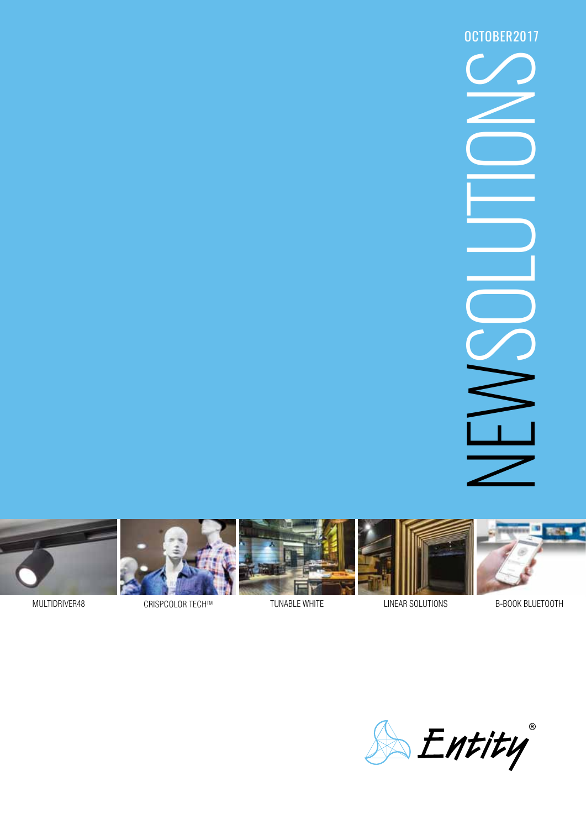NSOUTIONS OCTOBER2017











MULTIDRIVER48 CRISPCOLOR TECH™ TUNABLE WHITE

NEAR SOLUTIONS

B-BOOK BL

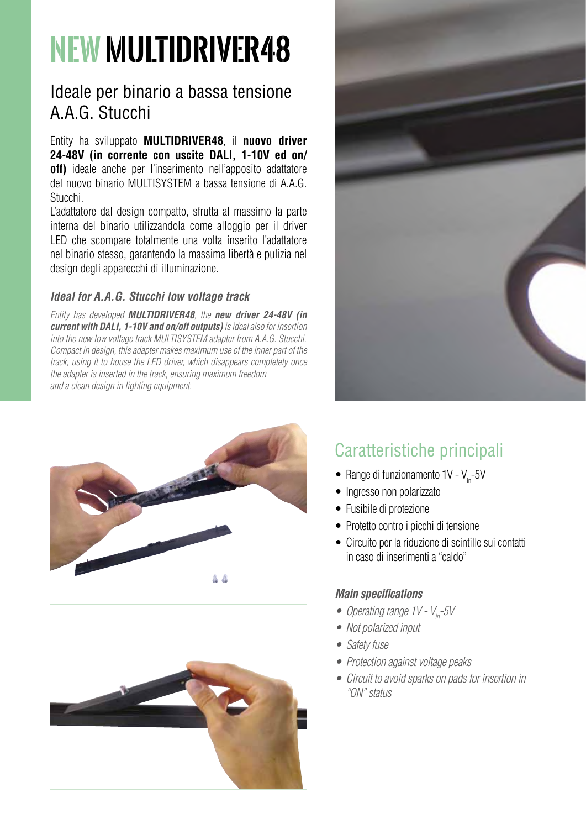# **NEW MULTIDRIVER48**

## Ideale per binario a bassa tensione A.A.G. Stucchi

Entity ha sviluppato **MULTIDRIVER48**, il **nuovo driver 24-48V (in corrente con uscite DALI, 1-10V ed on/ off)** ideale anche per l'inserimento nell'apposito adattatore del nuovo binario MULTISYSTEM a bassa tensione di A.A.G. Stucchi.

L'adattatore dal design compatto, sfrutta al massimo la parte interna del binario utilizzandola come alloggio per il driver LED che scompare totalmente una volta inserito l'adattatore nel binario stesso, garantendo la massima libertà e pulizia nel design degli apparecchi di illuminazione.

#### *Ideal for A.A.G. Stucchi low voltage track*

*Entity has developed MULTIDRIVER48, the new driver 24-48V (in current with DALI, 1-10V and on/off outputs) is ideal also for insertion into the new low voltage track MULTISYSTEM adapter from A.A.G. Stucchi. Compact in design, this adapter makes maximum use of the inner part of the track, using it to house the LED driver, which disappears completely once the adapter is inserted in the track, ensuring maximum freedom and a clean design in lighting equipment.*





# Caratteristiche principali

- Range di funzionamento  $1V V_{in}$ -5V
- • Ingresso non polarizzato
- Fusibile di protezione
- Protetto contro i picchi di tensione
- • Circuito per la riduzione di scintille sui contatti in caso di inserimenti a "caldo"

#### *Main specifications*

- Operating range 1V V<sub>in</sub>-5V
- • *Not polarized input*
- • *Safety fuse*
- • *Protection against voltage peaks*
- • *Circuit to avoid sparks on pads for insertion in "ON" status*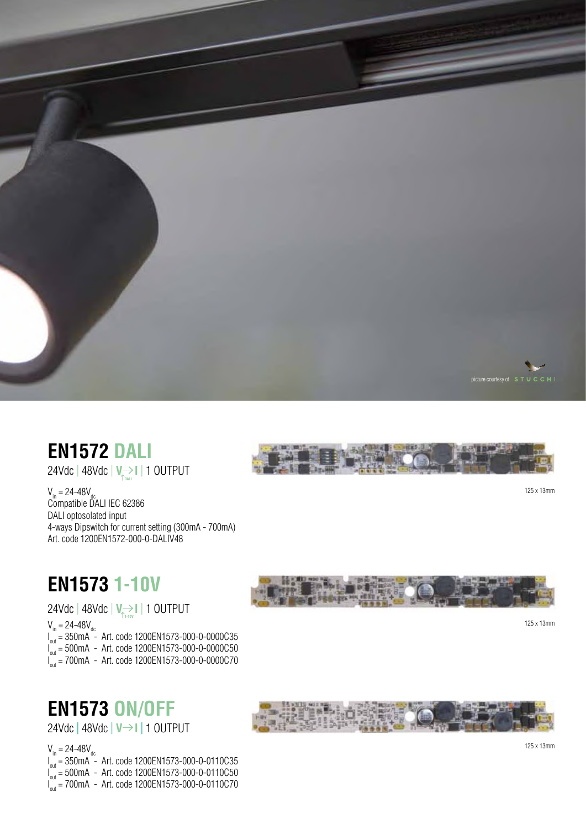

# **EN1572 Dali**

24Vdc | 48Vdc | **V I** | 1 OUTPUT **DALI**

 $V_{in}$  = 24-48 $V_{dec}$ Compatible D ALI IEC 62386 D ALI optosolated input 4-ways Dipswitch for current setting (300m A - 700m A ) Art. code 1200E N1572-000-0-D ALIV48



125 x 13mm

# **EN1573 1-10V**

24Vdc | 48Vdc | **V I** | 1 OUTPUT **1-10V**

V<sub>in</sub> = 24-48V<sub>dc</sub><br>I<sub>out</sub> = 350mA - Art. code 1200EN1573-000-0-0000C35

I<sub>out</sub> = 500mA - Art. code 1200EN1573-000-0-0000C50

I<sub>out</sub> = 700mA - Art. code 1200EN1573-000-0-0000C70



125 x 13mm

# **EN1573 ON/OFF**



24Vdc | 48Vdc | **V I** | 1 OUTPUT

V<sub>in</sub> = 24-48V<sub>dc</sub><br>I<sub>out</sub> = 350mA - Art. code 1200EN1573-000-0-0110C35

I<sub>out</sub> = 500mA - Art. code 1200EN1573-000-0-0110C50

I<sub>out</sub> = 700mA - Art. code 1200EN1573-000-0-0110C70

125 x 13mm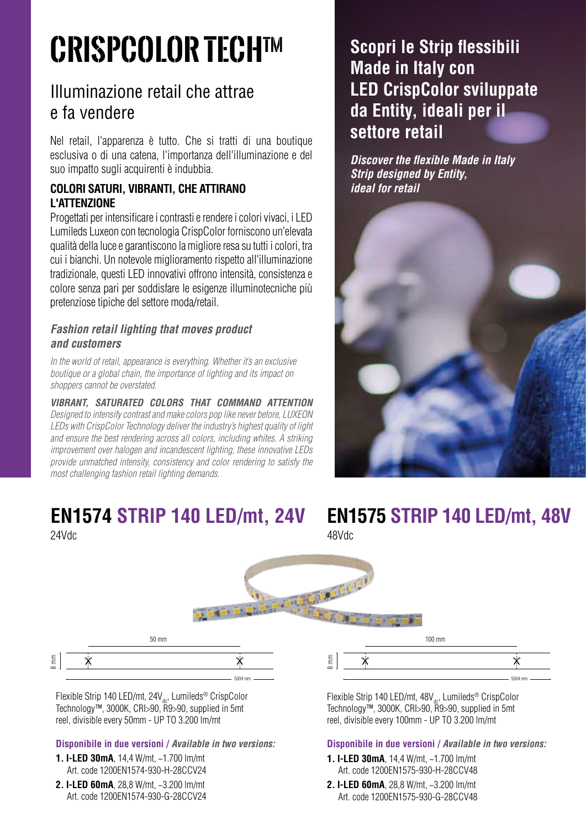# **CRISPCOLOR TECHTM**

# Illuminazione retail che attrae e fa vendere

Nel retail, l'apparenza è tutto. Che si tratti di una boutique esclusiva o di una catena, l'importanza dell'illuminazione e del suo impatto sugli acquirenti è indubbia.

### **COLORI SATURI, VIBRANTI, CHE ATTIRANO L'ATTENZIONE**

Progettati per intensificare i contrasti e rendere i colori vivaci, i LED Lumileds Luxeon con tecnologia CrispColor forniscono un'elevata qualità della luce e garantiscono la migliore resa su tutti i colori, tra cui i bianchi. Un notevole miglioramento rispetto all'illuminazione tradizionale, questi LED innovativi offrono intensità, consistenza e colore senza pari per soddisfare le esigenze illuminotecniche più pretenziose tipiche del settore moda/retail.

#### *Fashion retail lighting that moves product and customers*

*In the world of retail, appearance is everything. Whether it's an exclusive boutique or a global chain, the importance of lighting and its impact on shoppers cannot be overstated.* 

*VIBRANT, SATURATED COLORS THAT COMMAND ATTENTION Designed to intensify contrast and make colors pop like never before, LUXEON LEDs with CrispColor Technology deliver the industry's highest quality of light*  and ensure the best rendering across all colors, including whites. A striking *improvement over halogen and incandescent lighting, these innovative LEDs provide unmatched intensity, consistency and color rendering to satisfy the most challenging fashion retail lighting demands.*

# **EN1574 Strip 140 LED/mt, 24V EN1575 Strip 140 LED/mt, 48V**

# **Scopri le Strip flessibili Made in Italy con LED CrispColor sviluppate da Entity, ideali per il settore retail**

*Discover the flexible Made in Italy Strip designed by Entity, ideal for retail*



24Vdc 48Vdc

| $100 \text{ mm}$<br>$50 \text{ mm}$                                                 |               |
|-------------------------------------------------------------------------------------|---------------|
| $8 \ \mathrm{mm}$<br>$\mathop{\mathsf{E}}$<br>مزبه<br>م، ۵<br>$\infty$<br>$5004$ mm | $5004$ mm $-$ |

Flexible Strip 140 LED/mt, 24V<sub>dc</sub>, Lumileds® CrispColor Technology™, 3000K, CRI>90, R9>90, supplied in 5mt reel, divisible every 50mm - UP TO 3.200 lm/mt

#### **Disponibile in due versioni /** *Available in two versions:*

- **1. I-LED 30mA**, 14,4 W/mt, ~1.700 lm/mt Art. code 1200EN1574-930-H-28CCV24
- **2. I-LED 60mA**, 28,8 W/mt, ~3.200 lm/mt Art. code 1200EN1574-930-G-28CCV24

Flexible Strip 140 LED/mt, 48V<sub>dc</sub>, Lumileds® CrispColor Technology™, 3000K, CRI>90, R9>90, supplied in 5mt reel, divisible every 100mm - UP TO 3.200 lm/mt

#### **Disponibile in due versioni /** *Available in two versions:*

- **1. I-LED 30mA**, 14,4 W/mt, ~1.700 lm/mt Art. code 1200EN1575-930-H-28CCV48
- **2. I-LED 60mA**, 28,8 W/mt, ~3.200 lm/mt Art. code 1200EN1575-930-G-28CCV48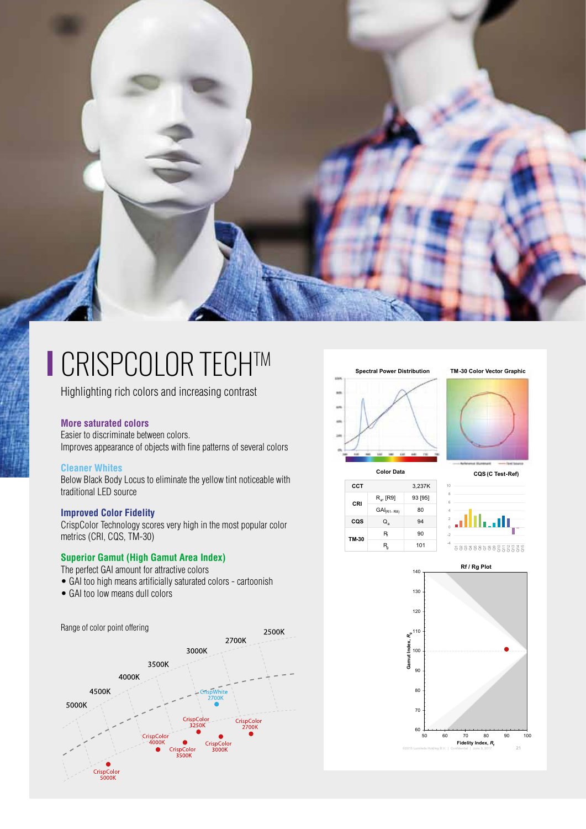

# ■ CRISPCOLOR TECH™

Highlighting rich colors and increasing contrast

#### **More saturated colors**

Easier to discriminate between colors. Improves appearance of objects with fine patterns of several colors

#### **Cleaner Whites**

Below Black Body Locus to eliminate the yellow tint noticeable with traditional LED source

#### **Improved Color Fidelity**

CrispColor Technology scores very high in the most popular color metrics (CRI, CQS, TM-30)

#### **Superior Gamut (High Gamut Area Index)**

- The perfect GAI amount for attractive colors
- GAI too high means artificially saturated colors cartoonish
- GAI too low means dull colors









**Color Data CQS (C Test-Ref)**

| CCT   |                       | 3,237K  |
|-------|-----------------------|---------|
| CRI   | R <sub>a</sub> , [R9] | 93 [95] |
|       | $GAI(R1-R8)$          | 80      |
| cos   | Q。                    | 94      |
| TM 30 | R                     | 90      |
|       | R                     | 101     |
|       |                       |         |

alikan, a 8 3 8 8 8 8 2 5 3 5 5 5



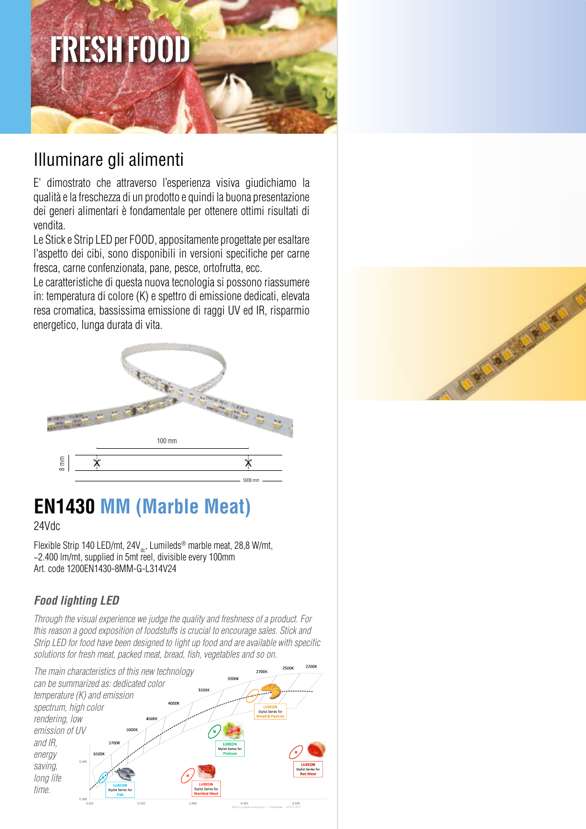# **FRESH FOOD**

# Illuminare gli alimenti

E' dimostrato che attraverso l'esperienza visiva giudichiamo la qualità e la freschezza di un prodotto e quindi la buona presentazione dei generi alimentari è fondamentale per ottenere ottimi risultati di vendita.

Le Stick e Strip LED per FOOD, appositamente progettate per esaltare l'aspetto dei cibi, sono disponibili in versioni specifiche per carne fresca, carne confenzionata, pane, pesce, ortofrutta, ecc.

Le caratteristiche di questa nuova tecnologia si possono riassumere in: temperatura di colore (K) e spettro di emissione dedicati, elevata resa cromatica, bassissima emissione di raggi UV ed IR, risparmio energetico, lunga durata di vita.



# **EN1430 MM (Marble Meat)**

24Vdc

Flexible Strip 140 LED/mt,  $24V_{\text{dot}}$ , Lumileds<sup>®</sup> marble meat, 28,8 W/mt, ~2.400 lm/mt, supplied in 5mt reel, divisible every 100mm Art. code 1200EN1430-8MM-G-L314V24

## *Food lighting LED*

*Through the visual experience we judge the quality and freshness of a product. For this reason a good exposition of foodstuffs is crucial to encourage sales. Stick and Strip LED for food have been designed to light up food and are available with specific solutions for fresh meat, packed meat, bread, fish, vegetables and so on.*



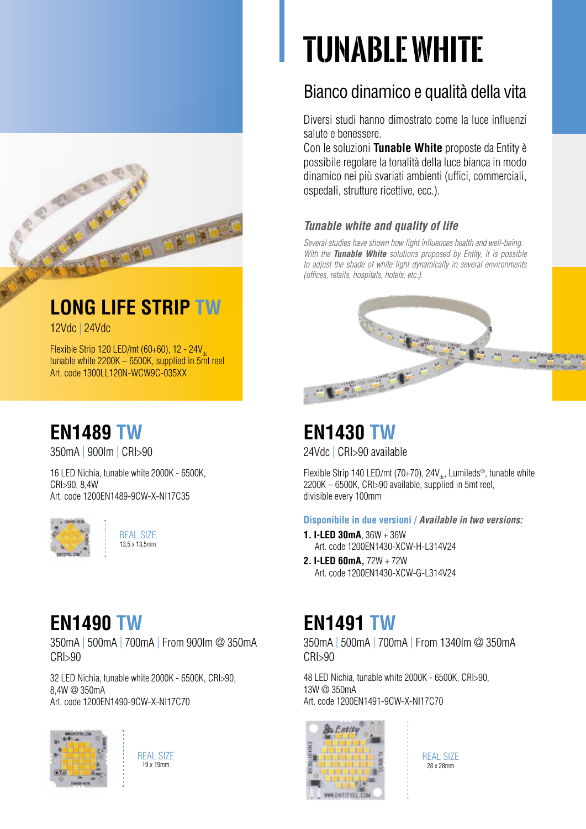# **tunablewhite**

# Bianco dinamico e qualità della vita

Diversi studi hanno dimostrato come la luce influenzi salute e benessere.

Con le soluzioni **Tunable White** proposte da Entity è possibile regolare la tonalità della luce bianca in modo dinamico nei più svariati ambienti (uffici, commerciali, ospedali, strutture ricettive, ecc.).

## *Tunable white and quality of life*

*Several studies have shown how light influences health and well-being. With the Tunable White solutions proposed by Entity, it is possible to adjust the shade of white light dynamically in several environments* 

*(offices, retails, hospitals, hotels, etc.).*

# **EN1489 tw**

12Vdc | 24Vdc

350mA | 900lm | CRI>90

16 LED Nichia, tunable white 2000K - 6500K, CRI>90, 8,4W Art. code 1200EN1489-9CW-X-NI17C35

Flexible Strip 120 LED/mt (60+60), 12 - 24V tunable white 2200K – 6500K, supplied in 5mt reel

**LONG LIFE STRIP tw**

国国国家

Art. code 1300LL120N-WCW9C-035XX



REAL SIZE 13,5 x 13,5mm

# **EN1430 tw**

 $^{\circ}$   $^{\circ}$ 

24Vdc | CRI>90 available

Flexible Strip 140 LED/mt (70+70), 24 $V_{\text{obs}}$ , Lumileds<sup>®</sup>, tunable white 2200K – 6500K, CRI>90 available, supplied in 5mt reel, divisible every 100mm

**Disponibile in due versioni /** *Available in two versions:*

- **1. I-LED 30mA**, 36W + 36W Art. code 1200EN1430-XCW-H-L314V24
- **2. I-LED 60mA,** 72W + 72W Art. code 1200EN1430-XCW-G-L314V24

# **EN1490 tw EN1491 tw**

350mA | 500mA | 700mA | From 1340lm @ 350mA CRI>90

48 LED Nichia, tunable white 2000K - 6500K, CRI>90, 13W @ 350mA Art. code 1200EN1491-9CW-X-NI17C70



REAL SIZE 28 x 28mm



350mA | 500mA | 700mA | From 900lm @ 350mA CRI>90

32 LED Nichia, tunable white 2000K - 6500K, CRI>90, 8,4W @ 350mA Art. code 1200EN1490-9CW-X-NI17C70



REAL SIZE 19 x 19mm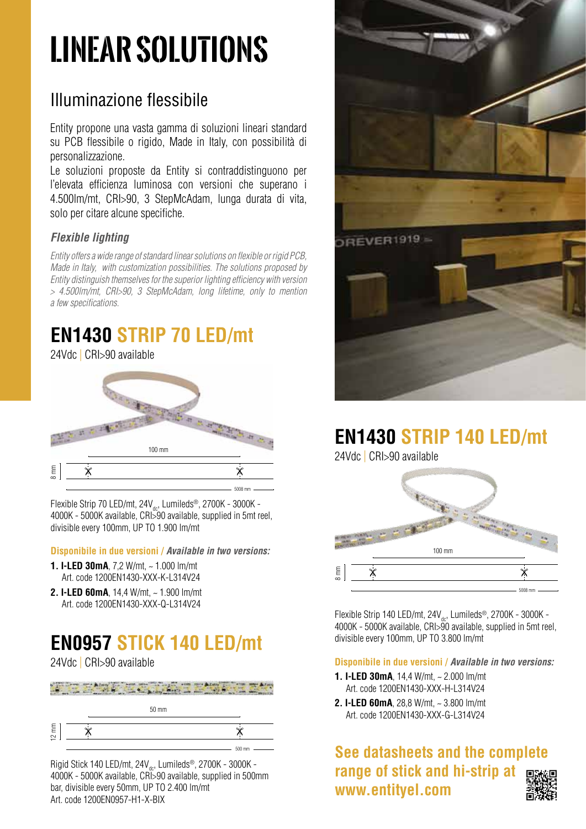# **linear solutions**

# Illuminazione flessibile

Entity propone una vasta gamma di soluzioni lineari standard su PCB flessibile o rigido, Made in Italy, con possibilità di personalizzazione.

Le soluzioni proposte da Entity si contraddistinguono per l'elevata efficienza luminosa con versioni che superano i 4.500lm/mt, CRI>90, 3 StepMcAdam, lunga durata di vita, solo per citare alcune specifiche.

### *Flexible lighting*

*Entity offers a wide range of standard linear solutions on flexible or rigid PCB, Made in Italy, with customization possibilities. The solutions proposed by Entity distinguish themselves for the superior lighting efficiency with version > 4.500lm/mt, CRI>90, 3 StepMcAdam, long lifetime, only to mention a few specifications.*

# **EN1430 Strip 70 LED/mt**

#### 24Vdc | CRI>90 available



Flexible Strip 70 LED/mt,  $24V_{dc}$ , Lumileds®, 2700K - 3000K -4000K - 5000K available, CRI>90 available, supplied in 5mt reel, divisible every 100mm, UP TO 1.900 lm/mt

#### **Disponibile in due versioni /** *Available in two versions:*

- **1. I-LED 30mA**, 7,2 W/mt, ~ 1.000 lm/mt Art. code 1200EN1430-XXX-K-L314V24
- **2. I-LED 60mA**, 14,4 W/mt, ~ 1.900 lm/mt Art. code 1200EN1430-XXX-Q-L314V24

# **EN0957 Stick 140 LED/mt**

24Vdc | CRI>90 available

|                 | $50 \text{ mm}$ |        |
|-----------------|-----------------|--------|
| $12 \text{ mm}$ |                 | പ് ച   |
|                 |                 | 500 mm |

Rigid Stick 140 LED/mt,  $24V_{\text{obs}}$ , Lumileds<sup>®</sup>, 2700K - 3000K -4000K - 5000K available, CRI>90 available, supplied in 500mm bar, divisible every 50mm, UP TO 2.400 lm/mt Art. code 1200EN0957-H1-X-BIX



# **EN1430 Strip 140 LED/mt**

24Vdc | CRI>90 available



Flexible Strip 140 LED/mt,  $24V_{\text{dc}}$ , Lumileds®, 2700K - 3000K -4000K - 5000K available, CRI>90 available, supplied in 5mt reel, divisible every 100mm, UP TO 3.800 lm/mt

**Disponibile in due versioni /** *Available in two versions:*

- **1. I-LED 30mA**, 14,4 W/mt, ~ 2.000 lm/mt Art. code 1200EN1430-XXX-H-L314V24
- **2. I-LED 60mA**, 28,8 W/mt, ~ 3.800 lm/mt Art. code 1200EN1430-XXX-G-L314V24

**See datasheets and the complete range of stick and hi-strip at www.entityel.com**

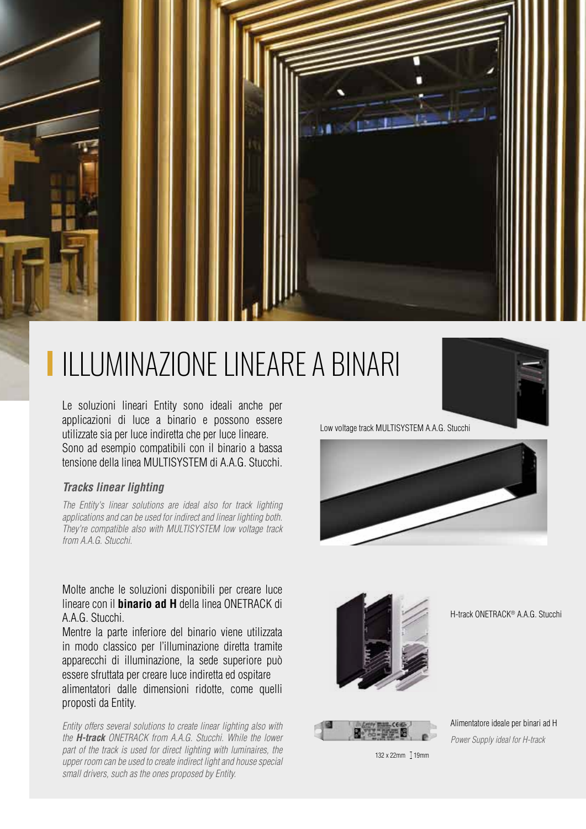

## **LIMINAZIONE LINEARE A BI ILLUMINAZIONE LINEARE A BINARI**

Le soluzioni lineari Entity sono ideali anche per applicazioni di luce a binario e possono essere utilizzate sia per luce indiretta che per luce lineare. Sono ad esempio compatibili con il binario a bassa tensione della linea MULTISYSTEM di A.A.G. Stucchi.

#### *Tracks linear lighting*

*The Entity's linear solutions are ideal also for track lighting applications and can be used for indirect and linear lighting both. They're compatible also with MULTISYSTEM low voltage track from A.A.G. Stucchi.*

Molte anche le soluzioni disponibili per creare luce lineare con il **binario ad H** della linea ONETRACK di A.A.G. Stucchi.

Mentre la parte inferiore del binario viene utilizzata in modo classico per l'illuminazione diretta tramite apparecchi di illuminazione, la sede superiore può essere sfruttata per creare luce indiretta ed ospitare alimentatori dalle dimensioni ridotte, come quelli proposti da Entity.

*Entity offers several solutions to create linear lighting also with the H-track ONETRACK from A.A.G. Stucchi. While the lower part of the track is used for direct lighting with luminaires, the upper room can be used to create indirect light and house special small drivers, such as the ones proposed by Entity.*



Low voltage track MULTISYSTEM A.A.G. Stucchi





H-track ONETRACK® A.A.G. Stucchi



Alimentatore ideale per binari ad H *Power Supply ideal for H-track*

 $132 \times 22$ mm  $\frac{1}{2}$ 19mm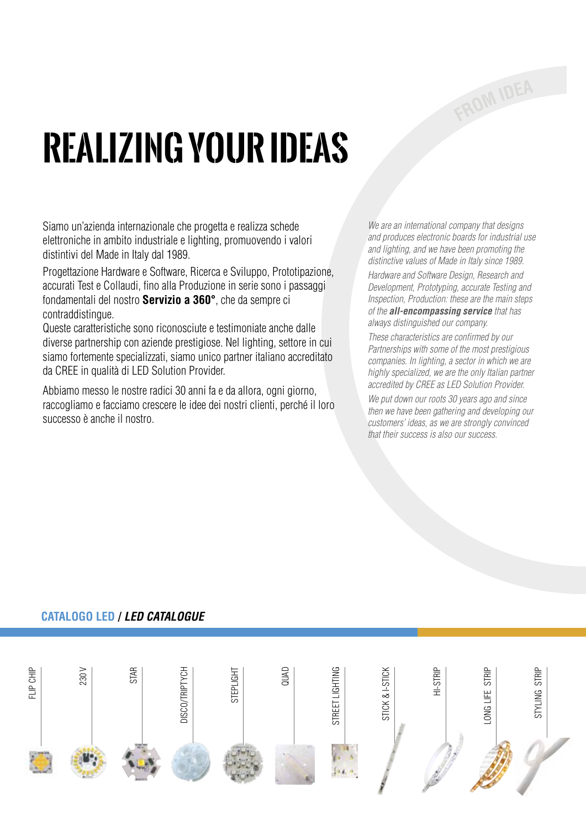# **Realizing your ideas**

Siamo un'azienda internazionale che progetta e realizza schede elettroniche in ambito industriale e lighting, promuovendo i valori distintivi del Made in Italy dal 1989.

Progettazione Hardware e Software, Ricerca e Sviluppo, Prototipazione, accurati Test e Collaudi, fino alla Produzione in serie sono i passaggi fondamentali del nostro **Servizio a 360°**, che da sempre ci contraddistingue.

Queste caratteristiche sono riconosciute e testimoniate anche dalle diverse partnership con aziende prestigiose. Nel lighting, settore in cui siamo fortemente specializzati, siamo unico partner italiano accreditato da CREE in qualità di LED Solution Provider.

Abbiamo messo le nostre radici 30 anni fa e da allora, ogni giorno, raccogliamo e facciamo crescere le idee dei nostri clienti, perché il loro successo è anche il nostro.

*We are an international company that designs and produces electronic boards for industrial use and lighting, and we have been promoting the distinctive values of Made in Italy since 1989.* 

*Hardware and Software Design, Research and Development, Prototyping, accurate Testing and Inspection, Production: these are the main steps of the all-encompassing service that has always distinguished our company.* 

*These characteristics are confirmed by our Partnerships with some of the most prestigious companies. In lighting, a sector in which we are highly specialized, we are the only Italian partner accredited by CREE as LED Solution Provider.* 

*We put down our roots 30 years ago and since then we have been gathering and developing our customers' ideas, as we are strongly convinced that their success is also our success.*

#### 230 V QUAD HI-Strip flip chip **STAR ISCO/TRIPTYCH** Steplight STREET LIGHTING **STICK & I-STICK** stick & I-StickONG LIFE STRIP Long Life Strip STYLING STRIP styling Strip Disco/Triptych **STEPLIGHT** STREET LIGHTING

#### **CATALOGO LED /** *LED CATALOGUE*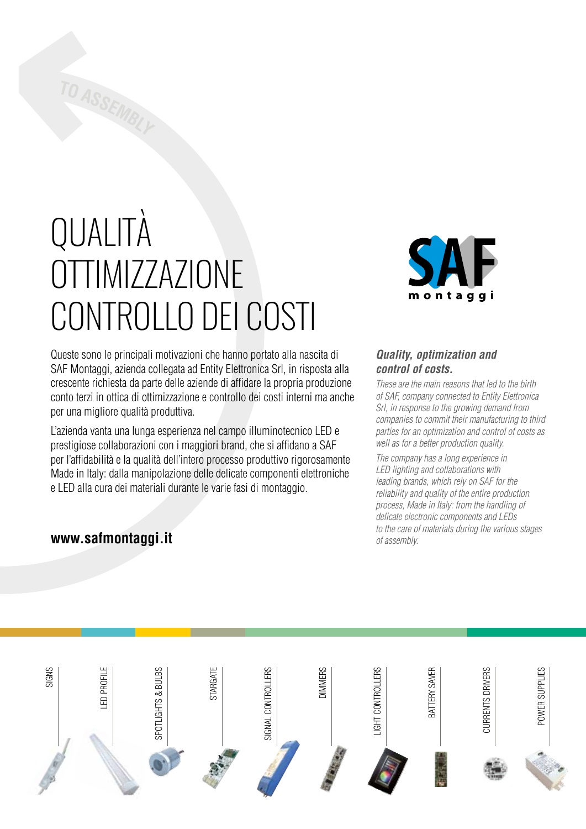# **QUALITÀ** OTTIMIZZAZIONE controllo dei costi

Queste sono le principali motivazioni che hanno portato alla nascita di SAF Montaggi, azienda collegata ad Entity Elettronica Srl, in risposta alla crescente richiesta da parte delle aziende di affidare la propria produzione conto terzi in ottica di ottimizzazione e controllo dei costi interni ma anche per una migliore qualità produttiva.

L'azienda vanta una lunga esperienza nel campo illuminotecnico LED e prestigiose collaborazioni con i maggiori brand, che si affidano a SAF per l'affidabilità e la qualità dell'intero processo produttivo rigorosamente Made in Italy: dalla manipolazione delle delicate componenti elettroniche e LED alla cura dei materiali durante le varie fasi di montaggio.

## **www.safmontaggi.it**



#### *Quality, optimization and control of costs.*

*These are the main reasons that led to the birth of SAF, company connected to Entity Elettronica Srl, in response to the growing demand from companies to commit their manufacturing to third parties for an optimization and control of costs as well as for a better production quality.*

*The company has a long experience in LED lighting and collaborations with leading brands, which rely on SAF for the reliability and quality of the entire production process, Made in Italy: from the handling of delicate electronic components and LEDs to the care of materials during the various stages of assembly.*